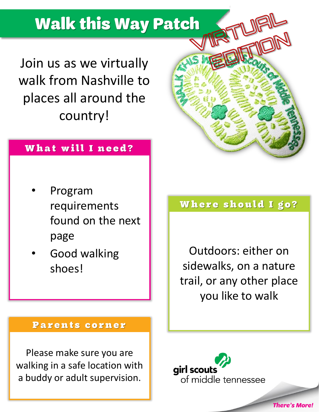# **Walk this Way Patch**

Join us as we virtually walk from Nashville to places all around the country!

#### What will I need?

- Program requirements found on the next page
- Good walking shoes!

#### Where should I go?

Outdoors: either on sidewalks, on a nature trail, or any other place you like to walk

**There's More!** 

#### Parents corner

Please make sure you are walking in a safe location with a buddy or adult supervision.

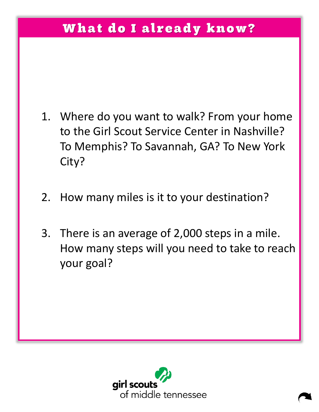### What do I already know?

- 1. Where do you want to walk? From your home to the Girl Scout Service Center in Nashville? To Memphis? To Savannah, GA? To New York City?
- 2. How many miles is it to your destination?
- 3. There is an average of 2,000 steps in a mile. How many steps will you need to take to reach your goal?

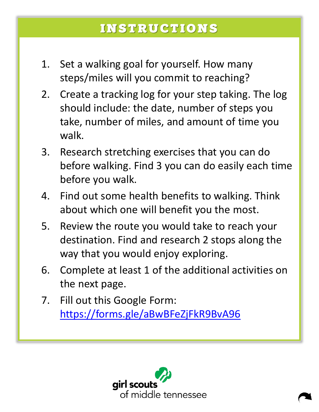#### **INSTRUCTIONS**

- 1. Set a walking goal for yourself. How many steps/miles will you commit to reaching?
- 2. Create a tracking log for your step taking. The log should include: the date, number of steps you take, number of miles, and amount of time you walk.
- 3. Research stretching exercises that you can do before walking. Find 3 you can do easily each time before you walk.
- 4. Find out some health benefits to walking. Think about which one will benefit you the most.
- 5. Review the route you would take to reach your destination. Find and research 2 stops along the way that you would enjoy exploring.
- 6. Complete at least 1 of the additional activities on the next page.
- 7. Fill out this Google Form: <https://forms.gle/aBwBFeZjFkR9BvA96>

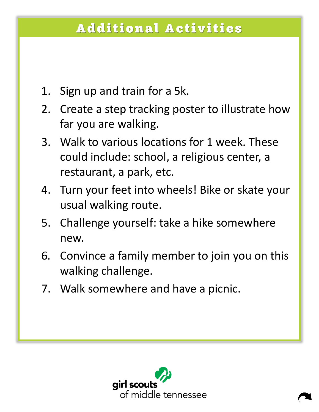## **Additional Activities**

- 1. Sign up and train for a 5k.
- 2. Create a step tracking poster to illustrate how far you are walking.
- 3. Walk to various locations for 1 week. These could include: school, a religious center, a restaurant, a park, etc.
- 4. Turn your feet into wheels! Bike or skate your usual walking route.
- 5. Challenge yourself: take a hike somewhere new.
- 6. Convince a family member to join you on this walking challenge.
- 7. Walk somewhere and have a picnic.

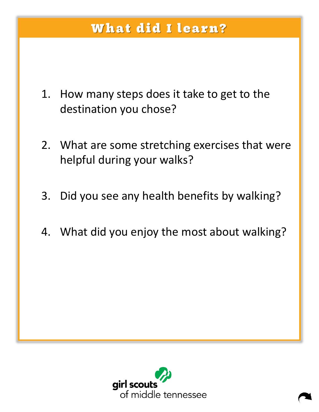### What did I learn?

- 1. How many steps does it take to get to the destination you chose?
- 2. What are some stretching exercises that were helpful during your walks?
- 3. Did you see any health benefits by walking?
- 4. What did you enjoy the most about walking?